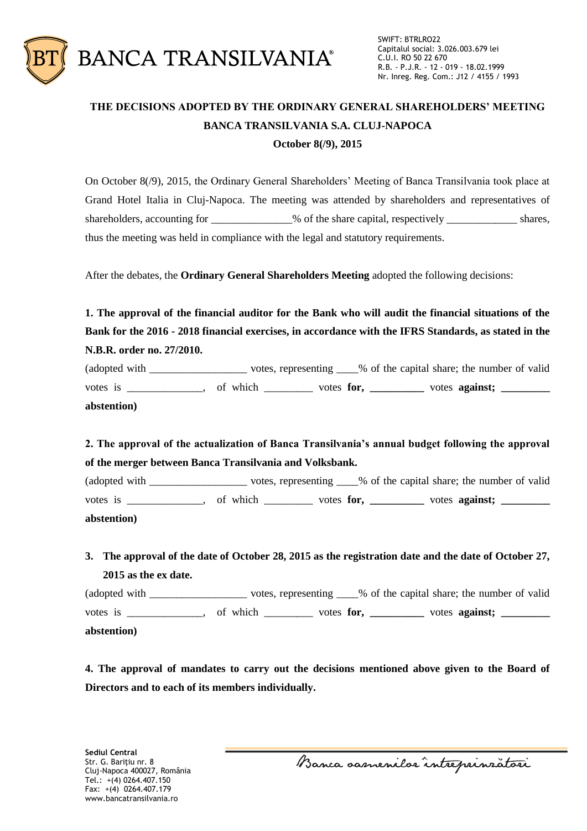

## **THE DECISIONS ADOPTED BY THE ORDINARY GENERAL SHAREHOLDERS' MEETING BANCA TRANSILVANIA S.A. CLUJ-NAPOCA October 8(/9), 2015**

On October 8(/9), 2015, the Ordinary General Shareholders' Meeting of Banca Transilvania took place at Grand Hotel Italia in Cluj-Napoca. The meeting was attended by shareholders and representatives of shareholders, accounting for \_\_\_\_\_\_\_\_\_\_\_\_\_% of the share capital, respectively \_\_\_\_\_\_\_\_\_\_\_\_\_\_ shares, thus the meeting was held in compliance with the legal and statutory requirements.

After the debates, the **Ordinary General Shareholders Meeting** adopted the following decisions:

**1. The approval of the financial auditor for the Bank who will audit the financial situations of the Bank for the 2016 - 2018 financial exercises, in accordance with the IFRS Standards, as stated in the N.B.R. order no. 27/2010.**

(adopted with \_\_\_\_\_\_\_\_\_\_\_\_\_\_\_\_\_\_ votes, representing \_\_\_\_% of the capital share; the number of valid votes is \_\_\_\_\_\_\_\_\_\_, of which \_\_\_\_\_\_\_\_ votes **for**, \_\_\_\_\_\_\_\_ votes **against**; \_\_\_\_\_\_ **abstention)**

**2. The approval of the actualization of Banca Transilvania's annual budget following the approval of the merger between Banca Transilvania and Volksbank.**

(adopted with votes, representing % of the capital share; the number of valid votes is \_\_\_\_\_\_\_\_\_, of which \_\_\_\_\_\_\_\_ votes **for**, \_\_\_\_\_\_\_\_ votes **against**; **abstention)**

**3. The approval of the date of October 28, 2015 as the registration date and the date of October 27, 2015 as the ex date.**

(adopted with \_\_\_\_\_\_\_\_\_\_\_\_\_\_\_\_\_\_ votes, representing \_\_\_\_% of the capital share; the number of valid votes is \_\_\_\_\_\_\_\_\_\_, of which \_\_\_\_\_\_\_\_ votes **for**, \_\_\_\_\_\_\_\_ votes **against**; \_\_\_\_\_\_\_ **abstention)**

**4. The approval of mandates to carry out the decisions mentioned above given to the Board of Directors and to each of its members individually.**

Banca samenilor intreprinzatori